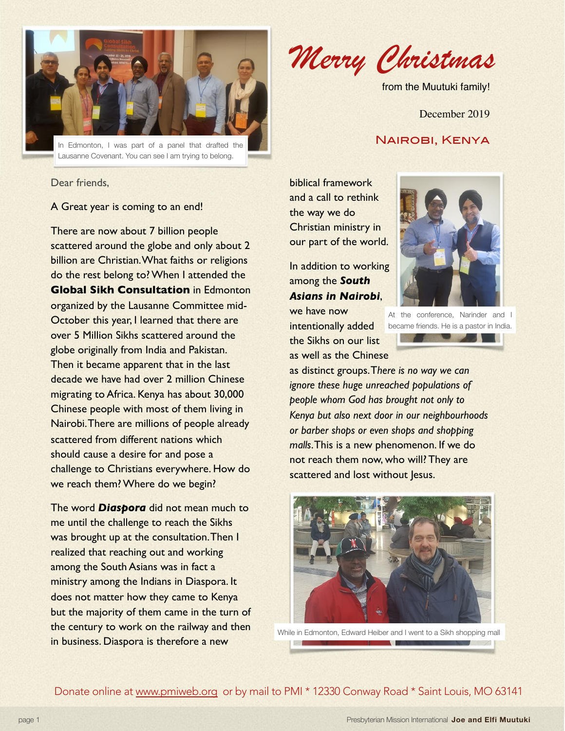

Dear friends,

## A Great year is coming to an end!

There are now about 7 billion people scattered around the globe and only about 2 billion are Christian. What faiths or religions do the rest belong to? When I attended the **Global Sikh Consultation** in Edmonton organized by the Lausanne Committee mid-October this year, I learned that there are over 5 Million Sikhs scattered around the globe originally from India and Pakistan. Then it became apparent that in the last decade we have had over 2 million Chinese migrating to Africa. Kenya has about 30,000 Chinese people with most of them living in Nairobi. There are millions of people already scattered from different nations which should cause a desire for and pose a challenge to Christians everywhere. How do we reach them? Where do we begin?

The word *Diaspora* did not mean much to me until the challenge to reach the Sikhs was brought up at the consultation. Then I realized that reaching out and working among the South Asians was in fact a ministry among the Indians in Diaspora. It does not matter how they came to Kenya but the majority of them came in the turn of the century to work on the railway and then in business. Diaspora is therefore a new

*Merry Christmas* 

from the Muutuki family!

December 2019

biblical framework and a call to rethink the way we do Christian ministry in our part of the world.

In addition to working among the *South Asians in Nairobi*,

we have now intentionally added the Sikhs on our list as well as the Chinese



At the conference, Narinder and I became friends. He is a pastor in India.**Experience of the Contract of the Contract of the Contract of the Contract of the Contract of the Contract of** 

as distinct groups. T*here is no way we can ignore these huge unreached populations of people whom God has brought not only to Kenya but also next door in our neighbourhoods or barber shops or even shops and shopping malls*. This is a new phenomenon. If we do not reach them now, who will? They are scattered and lost without Jesus.



While in Edmonton, Edward Heiber and I went to a Sikh shopping mall

Donate online at [www.pmiweb.org](http://www.pmiweb.org) or by mail to PMI \* 12330 Conway Road \* Saint Louis, MO 63141